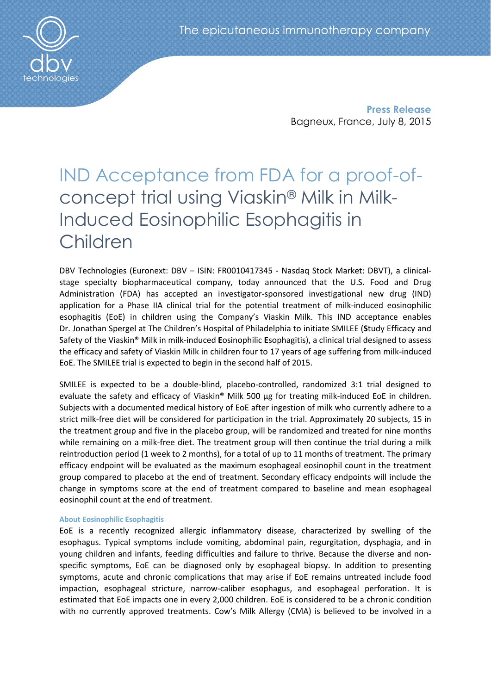Press Release Bagneux, France, July 8, 2015

# IND Acceptance from FDA for a proof-ofconcept trial using Viaskin® Milk in Milk-Induced Eosinophilic Esophagitis in Children

DBV Technologies (Euronext: DBV – ISIN: FR0010417345 - Nasdaq Stock Market: DBVT), a clinicalstage specialty biopharmaceutical company, today announced that the U.S. Food and Drug Administration (FDA) has accepted an investigator-sponsored investigational new drug (IND) application for a Phase IIA clinical trial for the potential treatment of milk-induced eosinophilic esophagitis (EoE) in children using the Company's Viaskin Milk. This IND acceptance enables Dr. Jonathan Spergel at The Children's Hospital of Philadelphia to initiate SMILEE (Study Efficacy and Safety of the Viaskin® Milk in milk-induced Eosinophilic Esophagitis), a clinical trial designed to assess the efficacy and safety of Viaskin Milk in children four to 17 years of age suffering from milk-induced EoE. The SMILEE trial is expected to begin in the second half of 2015.

SMILEE is expected to be a double-blind, placebo-controlled, randomized 3:1 trial designed to evaluate the safety and efficacy of Viaskin® Milk 500 μg for treating milk-induced EoE in children. Subjects with a documented medical history of EoE after ingestion of milk who currently adhere to a strict milk-free diet will be considered for participation in the trial. Approximately 20 subjects, 15 in the treatment group and five in the placebo group, will be randomized and treated for nine months while remaining on a milk-free diet. The treatment group will then continue the trial during a milk reintroduction period (1 week to 2 months), for a total of up to 11 months of treatment. The primary efficacy endpoint will be evaluated as the maximum esophageal eosinophil count in the treatment group compared to placebo at the end of treatment. Secondary efficacy endpoints will include the change in symptoms score at the end of treatment compared to baseline and mean esophageal eosinophil count at the end of treatment.

## About Eosinophilic Esophagitis

EoE is a recently recognized allergic inflammatory disease, characterized by swelling of the esophagus. Typical symptoms include vomiting, abdominal pain, regurgitation, dysphagia, and in young children and infants, feeding difficulties and failure to thrive. Because the diverse and nonspecific symptoms, EoE can be diagnosed only by esophageal biopsy. In addition to presenting symptoms, acute and chronic complications that may arise if EoE remains untreated include food impaction, esophageal stricture, narrow-caliber esophagus, and esophageal perforation. It is estimated that EoE impacts one in every 2,000 children. EoE is considered to be a chronic condition with no currently approved treatments. Cow's Milk Allergy (CMA) is believed to be involved in a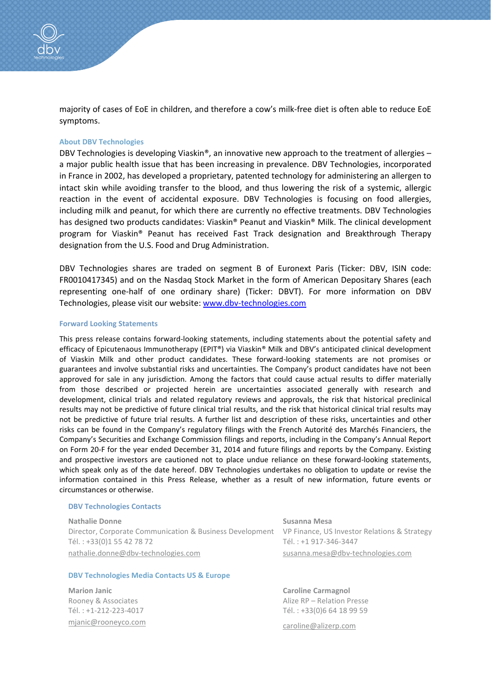majority of cases of EoE in children, and therefore a cow's milk-free diet is often able to reduce EoE symptoms.

### About DBV Technologies

DBV Technologies is developing Viaskin®, an innovative new approach to the treatment of allergies – a major public health issue that has been increasing in prevalence. DBV Technologies, incorporated in France in 2002, has developed a proprietary, patented technology for administering an allergen to intact skin while avoiding transfer to the blood, and thus lowering the risk of a systemic, allergic reaction in the event of accidental exposure. DBV Technologies is focusing on food allergies, including milk and peanut, for which there are currently no effective treatments. DBV Technologies has designed two products candidates: Viaskin® Peanut and Viaskin® Milk. The clinical development program for Viaskin® Peanut has received Fast Track designation and Breakthrough Therapy designation from the U.S. Food and Drug Administration.

DBV Technologies shares are traded on segment B of Euronext Paris (Ticker: DBV, ISIN code: FR0010417345) and on the Nasdaq Stock Market in the form of American Depositary Shares (each representing one-half of one ordinary share) (Ticker: DBVT). For more information on DBV Technologies, please visit our website: www.dbv-technologies.com

#### Forward Looking Statements

This press release contains forward-looking statements, including statements about the potential safety and efficacy of Epicutenaous Immunotherapy (EPIT®) via Viaskin® Milk and DBV's anticipated clinical development of Viaskin Milk and other product candidates. These forward-looking statements are not promises or guarantees and involve substantial risks and uncertainties. The Company's product candidates have not been approved for sale in any jurisdiction. Among the factors that could cause actual results to differ materially from those described or projected herein are uncertainties associated generally with research and development, clinical trials and related regulatory reviews and approvals, the risk that historical preclinical results may not be predictive of future clinical trial results, and the risk that historical clinical trial results may not be predictive of future trial results. A further list and description of these risks, uncertainties and other risks can be found in the Company's regulatory filings with the French Autorité des Marchés Financiers, the Company's Securities and Exchange Commission filings and reports, including in the Company's Annual Report on Form 20-F for the year ended December 31, 2014 and future filings and reports by the Company. Existing and prospective investors are cautioned not to place undue reliance on these forward-looking statements, which speak only as of the date hereof. DBV Technologies undertakes no obligation to update or revise the information contained in this Press Release, whether as a result of new information, future events or circumstances or otherwise.

#### DBV Technologies Contacts

Nathalie Donne Director, Corporate Communication & Business Development VP Finance, US Investor Relations & Strategy Tél. : +33(0)1 55 42 78 72 nathalie.donne@dbv-technologies.com

#### DBV Technologies Media Contacts US & Europe

Marion Janic Rooney & Associates Tél. : +1-212-223-4017 mjanic@rooneyco.com

Susanna Mesa Tél. : +1 917-346-3447 susanna.mesa@dbv-technologies.com

Caroline Carmagnol Alize RP – Relation Presse Tél. : +33(0)6 64 18 99 59

caroline@alizerp.com